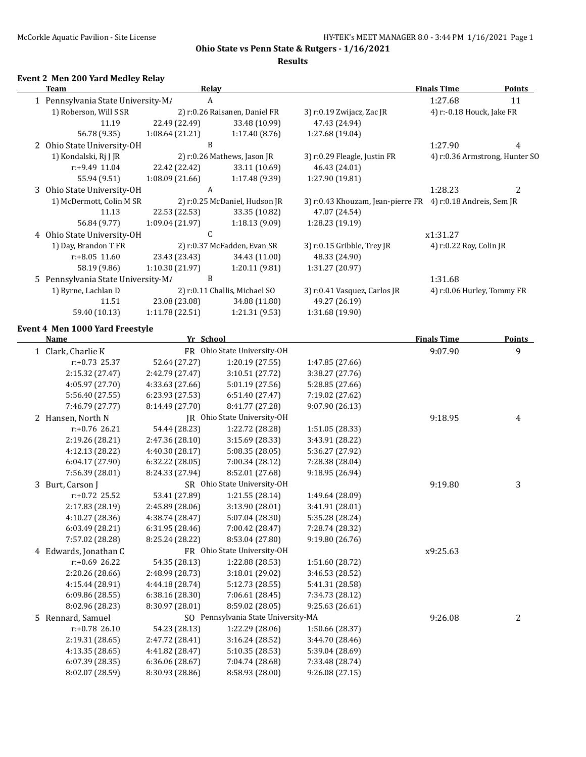**Results**

#### **Event 2 Men 200 Yard Medley Relay**

| <b>Team</b>                             | Relay            |                                     |                                                             | <b>Finals Time</b>         | <b>Points</b>                  |
|-----------------------------------------|------------------|-------------------------------------|-------------------------------------------------------------|----------------------------|--------------------------------|
| 1 Pennsylvania State University-M/      | A                |                                     |                                                             | 1:27.68                    | 11                             |
| 1) Roberson, Will S SR                  |                  | 2) r:0.26 Raisanen, Daniel FR       | 3) r:0.19 Zwijacz, Zac JR                                   | 4) r:-0.18 Houck, Jake FR  |                                |
| 11.19                                   | 22.49 (22.49)    | 33.48 (10.99)                       | 47.43 (24.94)                                               |                            |                                |
| 56.78 (9.35)                            | 1:08.64 (21.21)  | 1:17.40(8.76)                       | 1:27.68 (19.04)                                             |                            |                                |
| 2 Ohio State University-OH              | B                |                                     |                                                             | 1:27.90                    | 4                              |
| 1) Kondalski, Rj J JR                   |                  | 2) r:0.26 Mathews, Jason JR         | 3) r:0.29 Fleagle, Justin FR                                |                            | 4) r:0.36 Armstrong, Hunter SO |
| r:+9.49 11.04                           | 22.42 (22.42)    | 33.11 (10.69)                       | 46.43 (24.01)                                               |                            |                                |
| 55.94 (9.51)                            | 1:08.09(21.66)   | 1:17.48 (9.39)                      | 1:27.90 (19.81)                                             |                            |                                |
| 3 Ohio State University-OH              | $\boldsymbol{A}$ |                                     |                                                             | 1:28.23                    | 2                              |
| 1) McDermott, Colin M SR                |                  | 2) r:0.25 McDaniel, Hudson JR       | 3) r:0.43 Khouzam, Jean-pierre FR 4) r:0.18 Andreis, Sem JR |                            |                                |
| 11.13                                   | 22.53 (22.53)    | 33.35 (10.82)                       | 47.07 (24.54)                                               |                            |                                |
| 56.84 (9.77)                            | 1:09.04 (21.97)  | 1:18.13(9.09)                       | 1:28.23 (19.19)                                             |                            |                                |
| 4 Ohio State University-OH              | $\mathsf C$      |                                     |                                                             | x1:31.27                   |                                |
| 1) Day, Brandon T FR                    |                  | 2) r:0.37 McFadden, Evan SR         | 3) r:0.15 Gribble, Trey JR                                  | 4) r:0.22 Roy, Colin JR    |                                |
| $r: +8.05$ 11.60                        | 23.43 (23.43)    | 34.43 (11.00)                       | 48.33 (24.90)                                               |                            |                                |
| 58.19 (9.86)                            | 1:10.30 (21.97)  | 1:20.11 (9.81)                      | 1:31.27 (20.97)                                             |                            |                                |
| 5 Pennsylvania State University-M/      | B                |                                     |                                                             | 1:31.68                    |                                |
| 1) Byrne, Lachlan D                     |                  | 2) r:0.11 Challis, Michael SO       | 3) r:0.41 Vasquez, Carlos JR                                | 4) r:0.06 Hurley, Tommy FR |                                |
| 11.51                                   | 23.08 (23.08)    | 34.88 (11.80)                       | 49.27 (26.19)                                               |                            |                                |
| 59.40 (10.13)                           | 1:11.78(22.51)   | 1:21.31(9.53)                       | 1:31.68 (19.90)                                             |                            |                                |
|                                         |                  |                                     |                                                             |                            |                                |
| Event 4 Men 1000 Yard Freestyle<br>Name | Yr School        |                                     |                                                             | <b>Finals Time</b>         | <b>Points</b>                  |
| 1 Clark, Charlie K                      |                  | FR Ohio State University-OH         |                                                             |                            | 9                              |
| $r: +0.73$ 25.37                        | 52.64 (27.27)    |                                     |                                                             | 9:07.90                    |                                |
| 2:15.32 (27.47)                         | 2:42.79 (27.47)  | 1:20.19 (27.55)<br>3:10.51 (27.72)  | 1:47.85 (27.66)                                             |                            |                                |
| 4:05.97 (27.70)                         | 4:33.63 (27.66)  | 5:01.19 (27.56)                     | 3:38.27 (27.76)<br>5:28.85 (27.66)                          |                            |                                |
|                                         |                  |                                     |                                                             |                            |                                |
| 5:56.40 (27.55)<br>7:46.79 (27.77)      | 6:23.93 (27.53)  | 6:51.40 (27.47)<br>8:41.77 (27.28)  | 7:19.02 (27.62)<br>9:07.90 (26.13)                          |                            |                                |
|                                         | 8:14.49 (27.70)  | JR Ohio State University-OH         |                                                             |                            |                                |
| 2 Hansen, North N                       |                  |                                     |                                                             | 9:18.95                    | 4                              |
| $r: +0.76$ 26.21                        | 54.44 (28.23)    | 1:22.72 (28.28)                     | 1:51.05 (28.33)                                             |                            |                                |
| 2:19.26 (28.21)                         | 2:47.36 (28.10)  | 3:15.69 (28.33)                     | 3:43.91 (28.22)                                             |                            |                                |
| 4:12.13 (28.22)                         | 4:40.30 (28.17)  | 5:08.35 (28.05)                     | 5:36.27 (27.92)                                             |                            |                                |
| 6:04.17 (27.90)                         | 6:32.22 (28.05)  | 7:00.34 (28.12)                     | 7:28.38 (28.04)                                             |                            |                                |
| 7:56.39 (28.01)                         | 8:24.33 (27.94)  | 8:52.01 (27.68)                     | 9:18.95 (26.94)                                             |                            |                                |
| 3 Burt, Carson J                        |                  | SR Ohio State University-OH         |                                                             | 9:19.80                    | 3                              |
| $r: +0.72$ 25.52                        | 53.41 (27.89)    | 1:21.55 (28.14)                     | 1:49.64 (28.09)                                             |                            |                                |
| 2:17.83 (28.19)                         | 2:45.89 (28.06)  | 3:13.90 (28.01)                     | 3:41.91 (28.01)                                             |                            |                                |
| 4:10.27 (28.36)                         | 4:38.74 (28.47)  | 5:07.04 (28.30)                     | 5:35.28 (28.24)                                             |                            |                                |
| 6:03.49 (28.21)                         | 6:31.95 (28.46)  | 7:00.42 (28.47)                     | 7:28.74 (28.32)                                             |                            |                                |
| 7:57.02 (28.28)                         | 8:25.24 (28.22)  | 8:53.04 (27.80)                     | 9:19.80 (26.76)                                             |                            |                                |
| 4 Edwards, Jonathan C                   |                  | FR Ohio State University-OH         |                                                             | x9:25.63                   |                                |
| r:+0.69 26.22                           | 54.35 (28.13)    | 1:22.88 (28.53)                     | 1:51.60 (28.72)                                             |                            |                                |
| 2:20.26 (28.66)                         | 2:48.99 (28.73)  | 3:18.01 (29.02)                     | 3:46.53 (28.52)                                             |                            |                                |
| 4:15.44 (28.91)                         | 4:44.18 (28.74)  | 5:12.73 (28.55)                     | 5:41.31 (28.58)                                             |                            |                                |
| 6:09.86 (28.55)                         | 6:38.16(28.30)   | 7:06.61 (28.45)                     | 7:34.73 (28.12)                                             |                            |                                |
| 8:02.96 (28.23)                         | 8:30.97 (28.01)  | 8:59.02 (28.05)                     | 9:25.63 (26.61)                                             |                            |                                |
| 5 Rennard, Samuel                       |                  | SO Pennsylvania State University-MA |                                                             | 9:26.08                    | 2                              |
| $r: +0.78$ 26.10                        | 54.23 (28.13)    | 1:22.29 (28.06)                     | 1:50.66 (28.37)                                             |                            |                                |
| 2:19.31 (28.65)                         | 2:47.72 (28.41)  | 3:16.24 (28.52)                     | 3:44.70 (28.46)                                             |                            |                                |
| 4:13.35 (28.65)                         | 4:41.82 (28.47)  | 5:10.35 (28.53)                     | 5:39.04 (28.69)                                             |                            |                                |
| 6:07.39 (28.35)                         | 6:36.06 (28.67)  | 7:04.74 (28.68)                     | 7:33.48 (28.74)                                             |                            |                                |
| 8:02.07 (28.59)                         | 8:30.93 (28.86)  | 8:58.93 (28.00)                     | 9:26.08 (27.15)                                             |                            |                                |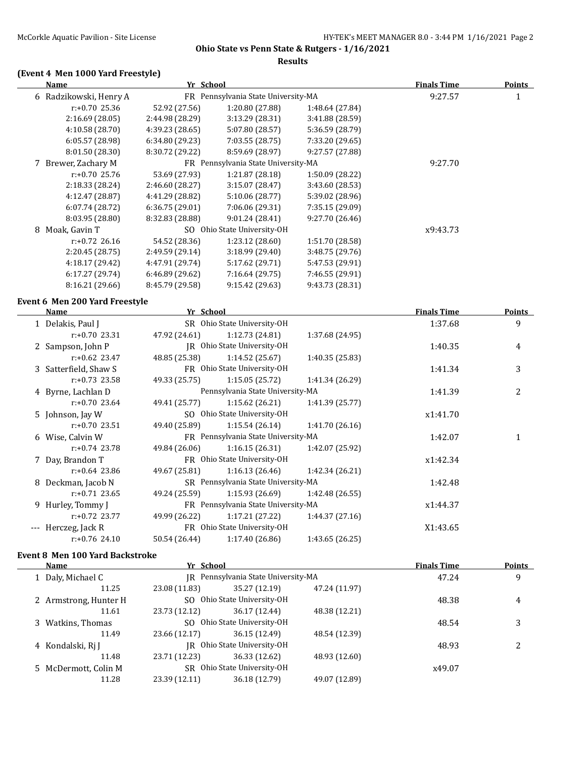#### **Results**

# **(Event 4 Men 1000 Yard Freestyle)**

| <b>Name</b>                           | Yr School       |                                     |                 | <b>Finals Time</b> | <b>Points</b> |
|---------------------------------------|-----------------|-------------------------------------|-----------------|--------------------|---------------|
| 6 Radzikowski, Henry A                |                 | FR Pennsylvania State University-MA |                 | 9:27.57            | $\mathbf{1}$  |
| r:+0.70 25.36                         | 52.92 (27.56)   | 1:20.80 (27.88)                     | 1:48.64 (27.84) |                    |               |
| 2:16.69 (28.05)                       | 2:44.98 (28.29) | 3:13.29 (28.31)                     | 3:41.88 (28.59) |                    |               |
| 4:10.58 (28.70)                       | 4:39.23 (28.65) | 5:07.80 (28.57)                     | 5:36.59 (28.79) |                    |               |
| 6:05.57 (28.98)                       | 6:34.80 (29.23) | 7:03.55 (28.75)                     | 7:33.20 (29.65) |                    |               |
| 8:01.50 (28.30)                       | 8:30.72 (29.22) | 8:59.69 (28.97)                     | 9:27.57 (27.88) |                    |               |
| 7 Brewer, Zachary M                   |                 | FR Pennsylvania State University-MA |                 | 9:27.70            |               |
| $r: +0.70$ 25.76                      | 53.69 (27.93)   | 1:21.87 (28.18)                     | 1:50.09 (28.22) |                    |               |
| 2:18.33 (28.24)                       | 2:46.60 (28.27) | 3:15.07(28.47)                      | 3:43.60 (28.53) |                    |               |
| 4:12.47 (28.87)                       | 4:41.29 (28.82) | 5:10.06 (28.77)                     | 5:39.02 (28.96) |                    |               |
| 6:07.74 (28.72)                       | 6:36.75 (29.01) | 7:06.06 (29.31)                     | 7:35.15 (29.09) |                    |               |
| 8:03.95 (28.80)                       | 8:32.83 (28.88) | 9:01.24 (28.41)                     | 9:27.70 (26.46) |                    |               |
| 8 Moak, Gavin T                       |                 | SO Ohio State University-OH         |                 | x9:43.73           |               |
| r:+0.72 26.16                         | 54.52 (28.36)   | 1:23.12 (28.60)                     | 1:51.70 (28.58) |                    |               |
| 2:20.45 (28.75)                       | 2:49.59 (29.14) | 3:18.99 (29.40)                     | 3:48.75 (29.76) |                    |               |
| 4:18.17 (29.42)                       | 4:47.91 (29.74) | 5:17.62 (29.71)                     | 5:47.53 (29.91) |                    |               |
| 6:17.27 (29.74)                       | 6:46.89 (29.62) | 7:16.64 (29.75)                     | 7:46.55 (29.91) |                    |               |
| 8:16.21 (29.66)                       | 8:45.79 (29.58) | 9:15.42 (29.63)                     | 9:43.73 (28.31) |                    |               |
| <b>Event 6 Men 200 Yard Freestyle</b> |                 |                                     |                 |                    |               |
| <b>Name</b>                           | Yr School       |                                     |                 | <b>Finals Time</b> | <b>Points</b> |
| 1 Delakis, Paul J                     |                 | SR Ohio State University-OH         |                 | 1:37.68            | 9             |
| $r: +0.70$ 23.31                      | 47.92 (24.61)   | 1:12.73 (24.81)                     | 1:37.68 (24.95) |                    |               |
| 2 Sampson, John P                     |                 | JR Ohio State University-OH         |                 | 1:40.35            | 4             |
| $r: +0.62$ 23.47                      | 48.85 (25.38)   | 1:14.52(25.67)                      | 1:40.35 (25.83) |                    |               |
| 3 Satterfield, Shaw S                 |                 | FR Ohio State University-OH         |                 | 1:41.34            | 3             |
| $r: +0.73$ 23.58                      | 49.33 (25.75)   | 1:15.05(25.72)                      | 1:41.34 (26.29) |                    |               |
| 4 Byrne, Lachlan D                    |                 | Pennsylvania State University-MA    |                 | 1:41.39            | 2             |
| $r: +0.70$ 23.64                      | 49.41 (25.77)   | 1:15.62 (26.21)                     | 1:41.39 (25.77) |                    |               |
| 5 Johnson, Jay W                      |                 | SO Ohio State University-OH         |                 | x1:41.70           |               |
| r:+0.70 23.51                         | 49.40 (25.89)   | 1:15.54(26.14)                      | 1:41.70 (26.16) |                    |               |
| 6 Wise, Calvin W                      |                 | FR Pennsylvania State University-MA |                 | 1:42.07            | $\mathbf{1}$  |
| $r: +0.74$ 23.78                      | 49.84 (26.06)   | 1:16.15(26.31)                      | 1:42.07 (25.92) |                    |               |
| 7 Day, Brandon T                      |                 | FR Ohio State University-OH         |                 | x1:42.34           |               |
| $r: +0.64$ 23.86                      | 49.67 (25.81)   | 1:16.13 (26.46)                     | 1:42.34 (26.21) |                    |               |
| 8 Deckman, Jacob N                    |                 | SR Pennsylvania State University-MA |                 | 1:42.48            |               |
| $r: +0.71$ 23.65                      | 49.24 (25.59)   | 1:15.93(26.69)                      | 1:42.48 (26.55) |                    |               |
| 9 Hurley, Tommy J                     |                 | FR Pennsylvania State University-MA |                 | x1:44.37           |               |
| $r: +0.72$ 23.77                      | 49.99 (26.22)   | 1:17.21 (27.22)                     | 1:44.37 (27.16) |                    |               |
| --- Herczeg, Jack R                   |                 | FR Ohio State University-OH         |                 | X1:43.65           |               |
| $r: +0.76$ 24.10                      | 50.54 (26.44)   | 1:17.40 (26.86)                     | 1:43.65 (26.25) |                    |               |

#### **Event 8 Men 100 Yard Backstroke**

| Name                  | Yr School                           |                             |               | <b>Finals Time</b> | <b>Points</b> |
|-----------------------|-------------------------------------|-----------------------------|---------------|--------------------|---------------|
| 1 Daly, Michael C     | IR Pennsylvania State University-MA |                             |               | 47.24              | 9             |
| 11.25                 | 23.08 (11.83)                       | 35.27 (12.19)               | 47.24 (11.97) |                    |               |
| 2 Armstrong, Hunter H |                                     | SO Ohio State University-OH |               |                    | 4             |
| 11.61                 | 23.73 (12.12)                       | 36.17 (12.44)               | 48.38 (12.21) |                    |               |
| 3 Watkins, Thomas     | SO Ohio State University-OH         |                             |               | 48.54              | 3             |
| 11.49                 | 23.66 (12.17)                       | 36.15 (12.49)               | 48.54 (12.39) |                    |               |
| 4 Kondalski, Rj J     |                                     | IR Ohio State University-OH |               |                    | າ             |
| 11.48                 | 23.71 (12.23)                       | 36.33 (12.62)               | 48.93 (12.60) |                    |               |
| 5 McDermott, Colin M  |                                     | SR Ohio State University-OH |               | x49.07             |               |
| 11.28                 | 23.39 (12.11)                       | 36.18 (12.79)               | 49.07 (12.89) |                    |               |
|                       |                                     |                             |               |                    |               |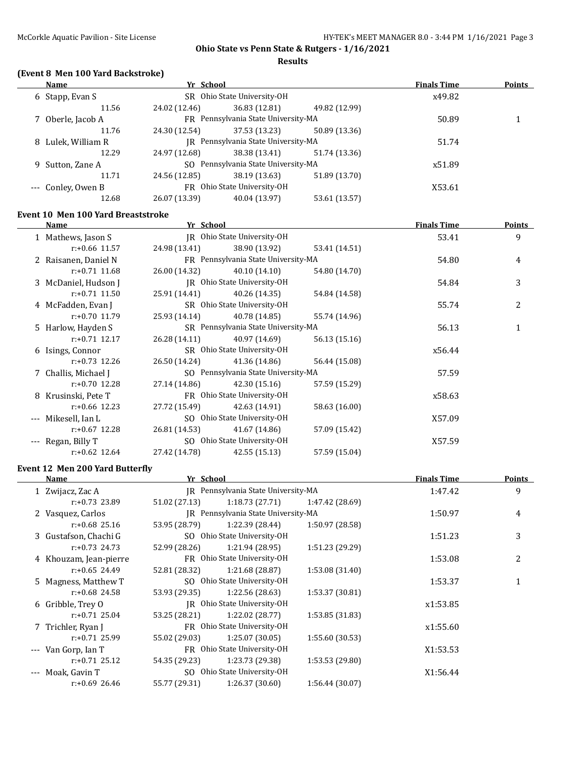**Results**

# **(Event 8 Men 100 Yard Backstroke)**

| Name               | Yr School                           |                                     |               | <b>Finals Time</b> | <b>Points</b> |
|--------------------|-------------------------------------|-------------------------------------|---------------|--------------------|---------------|
| 6 Stapp, Evan S    |                                     | SR Ohio State University-OH         |               | x49.82             |               |
| 11.56              | 24.02 (12.46)                       | 36.83 (12.81)                       | 49.82 (12.99) |                    |               |
| 7 Oberle, Jacob A  |                                     | FR Pennsylvania State University-MA |               |                    |               |
| 11.76              | 24.30 (12.54)                       | 37.53 (13.23)                       | 50.89 (13.36) |                    |               |
| 8 Lulek, William R | IR Pennsylvania State University-MA |                                     |               | 51.74              |               |
| 12.29              | 24.97 (12.68)                       | 38.38 (13.41)                       | 51.74 (13.36) |                    |               |
| 9 Sutton, Zane A   |                                     | SO Pennsylvania State University-MA |               | x51.89             |               |
| 11.71              | 24.56 (12.85)                       | 38.19 (13.63)                       | 51.89 (13.70) |                    |               |
| --- Conley, Owen B |                                     | FR Ohio State University-OH         |               | X53.61             |               |
| 12.68              | 26.07 (13.39)                       | 40.04 (13.97)                       | 53.61 (13.57) |                    |               |

#### **Event 10 Men 100 Yard Breaststroke**

| Name                 | Yr School                           |                                     |               | <b>Finals Time</b> | <b>Points</b> |
|----------------------|-------------------------------------|-------------------------------------|---------------|--------------------|---------------|
| 1 Mathews, Jason S   |                                     | JR Ohio State University-OH         |               | 53.41              | 9             |
| $r: +0.66$ 11.57     | 24.98 (13.41)                       | 38.90 (13.92)                       | 53.41 (14.51) |                    |               |
| 2 Raisanen, Daniel N |                                     | FR Pennsylvania State University-MA |               | 54.80              | 4             |
| $r: +0.71$ 11.68     | 26.00 (14.32)                       | 40.10 (14.10)                       | 54.80 (14.70) |                    |               |
| 3 McDaniel, Hudson J |                                     | JR Ohio State University-OH         |               | 54.84              | 3             |
| $r: +0.71$ 11.50     | 25.91 (14.41)                       | 40.26 (14.35)                       | 54.84 (14.58) |                    |               |
| 4 McFadden, Evan J   |                                     | SR Ohio State University-OH         |               | 55.74              | 2             |
| $r: +0.70$ 11.79     | 25.93 (14.14)                       | 40.78 (14.85)                       | 55.74 (14.96) |                    |               |
| 5 Harlow, Hayden S   | SR Pennsylvania State University-MA |                                     | 56.13         | 1                  |               |
| $r: +0.71$ 12.17     | 26.28 (14.11)                       | 40.97 (14.69)                       | 56.13 (15.16) |                    |               |
| 6 Isings, Connor     |                                     | SR Ohio State University-OH         |               | x56.44             |               |
| $r: +0.73$ 12.26     | 26.50 (14.24)                       | 41.36 (14.86)                       | 56.44 (15.08) |                    |               |
| 7 Challis, Michael J |                                     | SO Pennsylvania State University-MA |               | 57.59              |               |
| $r: +0.70$ 12.28     | 27.14 (14.86)                       | 42.30 (15.16)                       | 57.59 (15.29) |                    |               |
| 8 Krusinski, Pete T  |                                     | FR Ohio State University-OH         |               | x58.63             |               |
| $r: +0.66$ 12.23     | 27.72 (15.49)                       | 42.63 (14.91)                       | 58.63 (16.00) |                    |               |
| Mikesell. Ian L      |                                     | SO Ohio State University-OH         |               | X57.09             |               |
| $r: +0.67$ 12.28     | 26.81 (14.53)                       | 41.67 (14.86)                       | 57.09 (15.42) |                    |               |
| Regan, Billy T       |                                     | SO Ohio State University-OH         |               | X57.59             |               |
| $r: +0.62$ 12.64     | 27.42 (14.78)                       | 42.55 (15.13)                       | 57.59 (15.04) |                    |               |
|                      |                                     |                                     |               |                    |               |

# **Event 12 Men 200 Yard Butterfly**

| Name |                        | Yr School                           |                                     |                 | <b>Finals Time</b> | <b>Points</b>  |
|------|------------------------|-------------------------------------|-------------------------------------|-----------------|--------------------|----------------|
|      | 1 Zwijacz, Zac A       | IR Pennsylvania State University-MA |                                     |                 | 1:47.42            | 9              |
|      | $r: +0.73$ 23.89       | 51.02 (27.13)                       | 1:18.73(27.71)                      | 1:47.42 (28.69) |                    |                |
|      | 2 Vasquez, Carlos      |                                     | IR Pennsylvania State University-MA |                 | 1:50.97            | 4              |
|      | $r: +0.68$ 25.16       | 53.95 (28.79)                       | 1:22.39 (28.44)                     | 1:50.97 (28.58) |                    |                |
|      | 3 Gustafson, Chachi G  |                                     | SO Ohio State University-OH         |                 | 1:51.23            | 3              |
|      | $r: +0.73$ 24.73       | 52.99 (28.26)                       | 1:21.94(28.95)                      | 1:51.23 (29.29) |                    |                |
|      | 4 Khouzam, Jean-pierre |                                     | FR Ohio State University-OH         |                 | 1:53.08            | $\overline{c}$ |
|      | $r: +0.65$ 24.49       | 52.81 (28.32)                       | 1:21.68(28.87)                      | 1:53.08 (31.40) |                    |                |
|      | 5 Magness, Matthew T   |                                     | SO Ohio State University-OH         |                 | 1:53.37            |                |
|      | $r: +0.68$ 24.58       | 53.93 (29.35)                       | 1:22.56(28.63)                      | 1:53.37 (30.81) |                    |                |
|      | 6 Gribble, Trey O      | IR Ohio State University-OH         |                                     |                 | x1:53.85           |                |
|      | $r: +0.71$ 25.04       | 53.25 (28.21)                       | 1:22.02 (28.77)                     | 1:53.85 (31.83) |                    |                |
|      | 7 Trichler, Ryan J     |                                     | FR Ohio State University-OH         |                 | x1:55.60           |                |
|      | $r: +0.71$ 25.99       | 55.02 (29.03)                       | 1:25.07(30.05)                      | 1:55.60 (30.53) |                    |                |
|      | --- Van Gorp, Ian T    |                                     | FR Ohio State University-OH         |                 | X1:53.53           |                |
|      | $r: +0.71$ 25.12       | 54.35 (29.23)                       | 1:23.73 (29.38)                     | 1:53.53(29.80)  |                    |                |
|      | Moak, Gavin T          |                                     | SO Ohio State University-OH         |                 | X1:56.44           |                |
|      | $r: +0.69$ 26.46       | 55.77 (29.31)                       | 1:26.37 (30.60)                     | 1:56.44 (30.07) |                    |                |
|      |                        |                                     |                                     |                 |                    |                |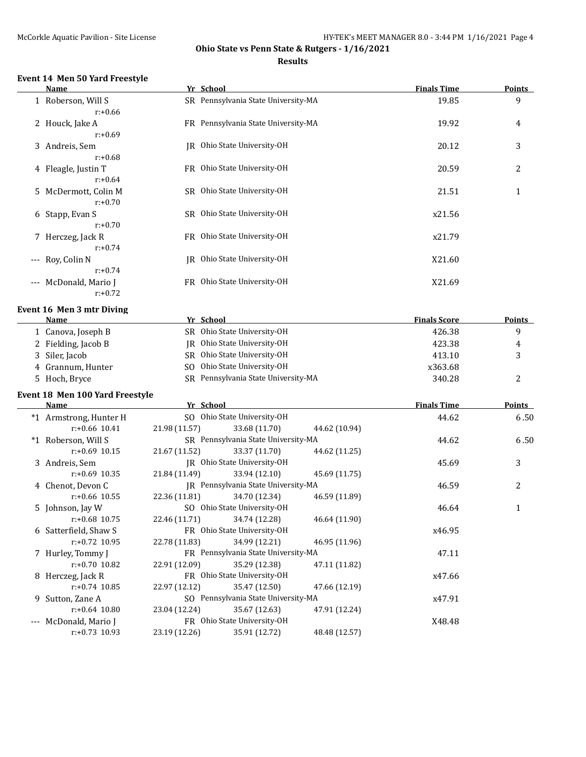# **Ohio State vs Penn State & Rutgers - 1/16/2021 Results**

# **Event 14 Men 50 Yard Freestyle**

|       | Name                                        |               | Yr School                           |               | <b>Finals Time</b>  | <b>Points</b> |
|-------|---------------------------------------------|---------------|-------------------------------------|---------------|---------------------|---------------|
|       | 1 Roberson, Will S<br>$r: +0.66$            |               | SR Pennsylvania State University-MA |               | 19.85               | 9             |
|       | 2 Houck, Jake A<br>$r: +0.69$               |               | FR Pennsylvania State University-MA |               | 19.92               | 4             |
|       | 3 Andreis, Sem                              |               | JR Ohio State University-OH         |               | 20.12               | 3             |
|       | $r: +0.68$<br>4 Fleagle, Justin T           |               | FR Ohio State University-OH         |               | 20.59               | 2             |
|       | $r: +0.64$<br>5 McDermott, Colin M          |               | SR Ohio State University-OH         |               | 21.51               | 1             |
|       | $r: +0.70$<br>6 Stapp, Evan S<br>$r: +0.70$ |               | SR Ohio State University-OH         |               | x21.56              |               |
|       | 7 Herczeg, Jack R<br>$r: +0.74$             |               | FR Ohio State University-OH         |               | x21.79              |               |
| $---$ | Roy, Colin N<br>$r: +0.74$                  |               | JR Ohio State University-OH         |               | X21.60              |               |
| $---$ | McDonald, Mario J<br>$r: +0.72$             |               | FR Ohio State University-OH         |               | X21.69              |               |
|       | Event 16 Men 3 mtr Diving                   |               |                                     |               |                     |               |
|       | Name                                        |               | Yr School                           |               | <b>Finals Score</b> | <b>Points</b> |
|       | 1 Canova, Joseph B                          |               | SR Ohio State University-OH         |               | 426.38              | 9             |
|       | 2 Fielding, Jacob B                         |               | JR Ohio State University-OH         |               | 423.38              | 4             |
|       | 3 Siler, Jacob                              |               | SR Ohio State University-OH         |               | 413.10              | 3             |
|       | 4 Grannum, Hunter                           |               | SO Ohio State University-OH         |               | x363.68             |               |
|       | 5 Hoch, Bryce                               |               | SR Pennsylvania State University-MA |               | 340.28              | 2             |
|       | Event 18 Men 100 Yard Freestyle             |               |                                     |               |                     |               |
|       | <b>Name</b>                                 |               | Yr School                           |               | <b>Finals Time</b>  | <b>Points</b> |
|       | *1 Armstrong, Hunter H                      |               | SO Ohio State University-OH         |               | 44.62               | 6.50          |
|       | $r: +0.66$ 10.41                            | 21.98 (11.57) | 33.68 (11.70)                       | 44.62 (10.94) |                     |               |
|       | *1 Roberson, Will S                         |               | SR Pennsylvania State University-MA |               | 44.62               | 6.50          |
|       | $r: +0.69$ 10.15                            | 21.67 (11.52) | 33.37 (11.70)                       | 44.62 (11.25) |                     |               |
|       | 3 Andreis, Sem                              |               | JR Ohio State University-OH         |               | 45.69               | 3             |
|       | $r: +0.69$ 10.35                            | 21.84 (11.49) | 33.94 (12.10)                       | 45.69 (11.75) |                     |               |
|       | 4 Chenot, Devon C                           |               | JR Pennsylvania State University-MA |               | 46.59               | 2             |
|       | $r: +0.66$ 10.55                            | 22.36 (11.81) | 34.70 (12.34)                       | 46.59 (11.89) |                     |               |
|       | 5 Johnson, Jay W                            |               | SO Ohio State University-OH         |               | 46.64               | $\mathbf{1}$  |
|       | $r: +0.68$ 10.75                            | 22.46 (11.71) | 34.74 (12.28)                       | 46.64 (11.90) |                     |               |
|       | 6 Satterfield, Shaw S                       |               | FR Ohio State University-OH         |               | x46.95              |               |
|       | $r: +0.72$ 10.95                            | 22.78 (11.83) | 34.99 (12.21)                       | 46.95 (11.96) |                     |               |
|       | 7 Hurley, Tommy J                           |               | FR Pennsylvania State University-MA |               | 47.11               |               |
|       | $r: +0.70$ 10.82                            | 22.91 (12.09) | 35.29 (12.38)                       | 47.11 (11.82) |                     |               |
|       | 8 Herczeg, Jack R                           |               | FR Ohio State University-OH         |               | x47.66              |               |
|       | $r: +0.74$ 10.85                            | 22.97 (12.12) | 35.47 (12.50)                       | 47.66 (12.19) |                     |               |
|       | 9 Sutton, Zane A                            |               | SO Pennsylvania State University-MA |               | x47.91              |               |
|       | $r: +0.64$ 10.80                            | 23.04 (12.24) | 35.67 (12.63)                       | 47.91 (12.24) |                     |               |
|       | McDonald, Mario J                           |               | FR Ohio State University-OH         |               | X48.48              |               |
|       | $r: +0.73$ 10.93                            | 23.19 (12.26) | 35.91 (12.72)                       | 48.48 (12.57) |                     |               |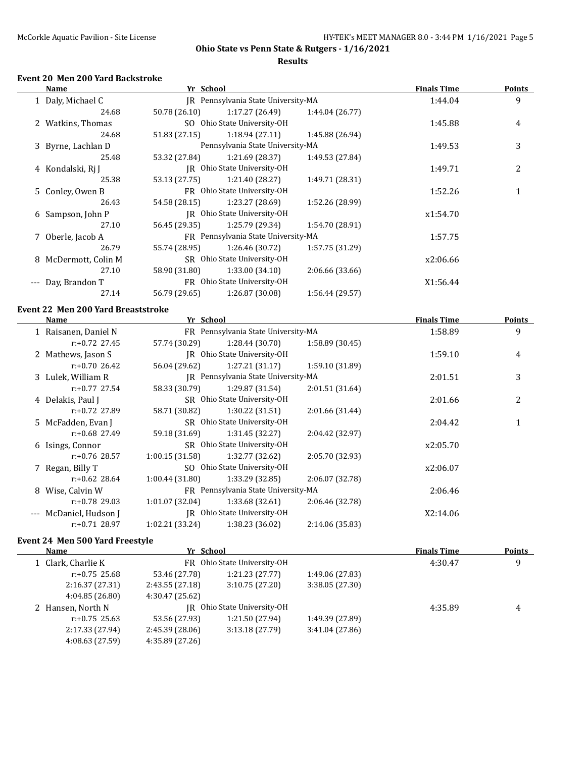#### **Results**

# **Event 20 Men 200 Yard Backstroke**

| Name |                      | Yr School                           |                                     |                 | <b>Finals Time</b> | <b>Points</b> |
|------|----------------------|-------------------------------------|-------------------------------------|-----------------|--------------------|---------------|
|      | 1 Daly, Michael C    | IR Pennsylvania State University-MA |                                     |                 | 1:44.04            | 9             |
|      | 24.68                | 50.78 (26.10)                       | 1:17.27(26.49)                      | 1:44.04 (26.77) |                    |               |
|      | 2 Watkins, Thomas    |                                     | SO Ohio State University-OH         |                 | 1:45.88            | 4             |
|      | 24.68                | 51.83 (27.15)                       | 1:18.94(27.11)                      | 1:45.88 (26.94) |                    |               |
|      | 3 Byrne, Lachlan D   |                                     | Pennsylvania State University-MA    |                 | 1:49.53            | 3             |
|      | 25.48                | 53.32 (27.84)                       | 1:21.69 (28.37)                     | 1:49.53 (27.84) |                    |               |
|      | 4 Kondalski, Rj J    |                                     | IR Ohio State University-OH         |                 | 1:49.71            | 2             |
|      | 25.38                | 53.13 (27.75)                       | 1:21.40 (28.27)                     | 1:49.71 (28.31) |                    |               |
|      | 5 Conley, Owen B     |                                     | FR Ohio State University-OH         |                 | 1:52.26            |               |
|      | 26.43                | 54.58 (28.15)                       | 1:23.27 (28.69)                     | 1:52.26 (28.99) |                    |               |
|      | 6 Sampson, John P    |                                     | IR Ohio State University-OH         |                 | x1:54.70           |               |
|      | 27.10                | 56.45 (29.35)                       | 1:25.79 (29.34)                     | 1:54.70 (28.91) |                    |               |
|      | 7 Oberle, Jacob A    |                                     | FR Pennsylvania State University-MA |                 | 1:57.75            |               |
|      | 26.79                | 55.74 (28.95)                       | 1:26.46 (30.72)                     | 1:57.75 (31.29) |                    |               |
|      | 8 McDermott, Colin M |                                     | SR Ohio State University-OH         |                 | x2:06.66           |               |
|      | 27.10                | 58.90 (31.80)                       | 1:33.00(34.10)                      | 2:06.66(33.66)  |                    |               |
| $--$ | Day, Brandon T       |                                     | FR Ohio State University-OH         |                 | X1:56.44           |               |
|      | 27.14                | 56.79 (29.65)                       | 1:26.87 (30.08)                     | 1:56.44 (29.57) |                    |               |
|      |                      |                                     |                                     |                 |                    |               |

# **Event 22 Men 200 Yard Breaststroke**

|       | Name                 | Yr School                   |                                        |                 | <b>Finals Time</b> | Points |
|-------|----------------------|-----------------------------|----------------------------------------|-----------------|--------------------|--------|
|       | 1 Raisanen, Daniel N |                             | FR Pennsylvania State University-MA    |                 |                    | 9      |
|       | $r: +0.72$ 27.45     | 57.74 (30.29)               | 1:28.44(30.70)                         | 1:58.89(30.45)  |                    |        |
|       | 2 Mathews, Jason S   |                             | IR Ohio State University-OH            |                 | 1:59.10            | 4      |
|       | $r: +0.70$ 26.42     | 56.04 (29.62)               | 1:27.21(31.17)                         | 1:59.10(31.89)  |                    |        |
|       | 3 Lulek, William R   |                             | IR Pennsylvania State University-MA    |                 | 2:01.51            | 3      |
|       | $r: +0.77$ 27.54     | 58.33 (30.79)               | 1:29.87(31.54)                         | 2:01.51(31.64)  |                    |        |
|       | 4 Delakis, Paul J    |                             | SR Ohio State University-OH<br>2:01.66 |                 |                    | 2      |
|       | r:+0.72 27.89        | 58.71 (30.82)               | 1:30.22(31.51)                         | 2:01.66 (31.44) |                    |        |
|       | 5 McFadden, Evan J   |                             | SR Ohio State University-OH            |                 |                    |        |
|       | $r: +0.68$ 27.49     | 59.18 (31.69)               | 1:31.45(32.27)                         | 2:04.42 (32.97) |                    |        |
|       | 6 Isings, Connor     |                             | SR Ohio State University-OH            |                 |                    |        |
|       | $r: +0.76$ 28.57     | 1:00.15(31.58)              | 1:32.77 (32.62)                        | 2:05.70 (32.93) |                    |        |
|       | 7 Regan, Billy T     |                             | SO Ohio State University-OH            |                 | x2:06.07           |        |
|       | $r: +0.62$ 28.64     | 1:00.44(31.80)              | 1:33.29(32.85)                         | 2:06.07 (32.78) |                    |        |
|       | Wise, Calvin W<br>8  |                             | FR Pennsylvania State University-MA    |                 | 2:06.46            |        |
|       | $r: +0.78$ 29.03     | 1:01.07(32.04)              | 1:33.68(32.61)                         | 2:06.46 (32.78) |                    |        |
| $---$ | McDaniel, Hudson J   | IR Ohio State University-OH |                                        |                 | X2:14.06           |        |
|       | $r: +0.71$ 28.97     | 1:02.21 (33.24)             | 1:38.23 (36.02)                        | 2:14.06 (35.83) |                    |        |
|       |                      |                             |                                        |                 |                    |        |

### **Event 24 Men 500 Yard Freestyle**

| <b>Name</b>        |                             | Yr School                   |                 | <b>Finals Time</b> | <b>Points</b> |
|--------------------|-----------------------------|-----------------------------|-----------------|--------------------|---------------|
| 1 Clark, Charlie K | FR Ohio State University-OH |                             |                 | 4:30.47            | 9             |
| $r: +0.75$ 25.68   | 53.46 (27.78)               | 1:21.23(27.77)              | 1:49.06 (27.83) |                    |               |
| 2:16.37(27.31)     | 2:43.55(27.18)              | 3:10.75 (27.20)             | 3:38.05 (27.30) |                    |               |
| 4:04.85(26.80)     | 4:30.47 (25.62)             |                             |                 |                    |               |
| 2 Hansen, North N  |                             | IR Ohio State University-OH |                 | 4:35.89            | 4             |
| $r: +0.75$ 25.63   | 53.56 (27.93)               | 1:21.50 (27.94)             | 1:49.39 (27.89) |                    |               |
| 2:17.33 (27.94)    | 2:45.39(28.06)              | 3:13.18 (27.79)             | 3:41.04(27.86)  |                    |               |
| 4:08.63 (27.59)    | 4:35.89 (27.26)             |                             |                 |                    |               |
|                    |                             |                             |                 |                    |               |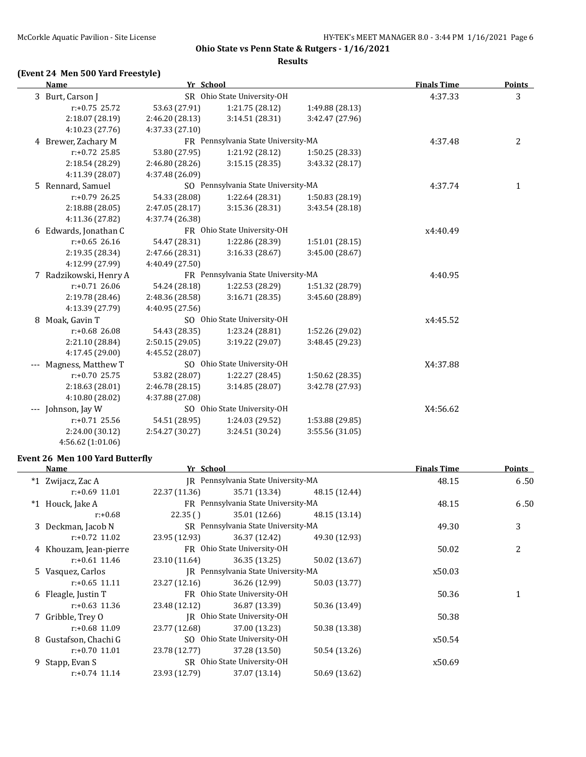#### **Results**

# **(Event 24 Men 500 Yard Freestyle)**

| <b>Name</b>             | Yr School                           |                                     |                 | <b>Finals Time</b> | <b>Points</b> |
|-------------------------|-------------------------------------|-------------------------------------|-----------------|--------------------|---------------|
| 3 Burt, Carson J        |                                     | SR Ohio State University-OH         |                 | 4:37.33            | 3             |
| $r: +0.75$ 25.72        | 53.63 (27.91)                       | 1:21.75(28.12)                      | 1:49.88 (28.13) |                    |               |
| 2:18.07 (28.19)         | 2:46.20 (28.13)                     | 3:14.51(28.31)                      | 3:42.47 (27.96) |                    |               |
| 4:10.23 (27.76)         | 4:37.33 (27.10)                     |                                     |                 |                    |               |
| 4 Brewer, Zachary M     |                                     | FR Pennsylvania State University-MA |                 | 4:37.48            | 2             |
| $r: +0.72$ 25.85        | 53.80 (27.95)                       | 1:21.92 (28.12)                     | 1:50.25(28.33)  |                    |               |
| 2:18.54 (28.29)         | 2:46.80 (28.26)                     | 3:15.15(28.35)                      | 3:43.32 (28.17) |                    |               |
| 4:11.39 (28.07)         | 4:37.48 (26.09)                     |                                     |                 |                    |               |
| 5 Rennard, Samuel       |                                     | SO Pennsylvania State University-MA |                 |                    | $\mathbf{1}$  |
| $r: +0.79$ 26.25        | 54.33 (28.08)                       | 1:22.64 (28.31)                     | 1:50.83 (28.19) |                    |               |
| 2:18.88(28.05)          | 2:47.05(28.17)                      | 3:15.36 (28.31)                     | 3:43.54 (28.18) |                    |               |
| 4:11.36 (27.82)         | 4:37.74 (26.38)                     |                                     |                 |                    |               |
| 6 Edwards, Jonathan C   |                                     | FR Ohio State University-OH         |                 | x4:40.49           |               |
| $r: +0.65$ 26.16        | 54.47 (28.31)                       | 1:22.86 (28.39)                     | 1:51.01 (28.15) |                    |               |
| 2:19.35 (28.34)         | 2:47.66 (28.31)                     | 3:16.33(28.67)                      | 3:45.00 (28.67) |                    |               |
| 4:12.99 (27.99)         | 4:40.49 (27.50)                     |                                     |                 |                    |               |
| 7 Radzikowski, Henry A  | FR Pennsylvania State University-MA |                                     |                 | 4:40.95            |               |
| $r: +0.71$ 26.06        | 54.24 (28.18)                       | 1:22.53 (28.29)                     | 1:51.32 (28.79) |                    |               |
| 2:19.78 (28.46)         | 2:48.36 (28.58)                     | 3:16.71(28.35)                      | 3:45.60 (28.89) |                    |               |
| 4:13.39 (27.79)         | 4:40.95 (27.56)                     |                                     |                 |                    |               |
| 8 Moak, Gavin T         |                                     | SO Ohio State University-OH         |                 | x4:45.52           |               |
| $r: +0.68$ 26.08        | 54.43 (28.35)                       | 1:23.24 (28.81)                     | 1:52.26 (29.02) |                    |               |
| 2:21.10 (28.84)         | 2:50.15 (29.05)                     | 3:19.22 (29.07)                     | 3:48.45 (29.23) |                    |               |
| 4:17.45 (29.00)         | 4:45.52 (28.07)                     |                                     |                 |                    |               |
| Magness, Matthew T      |                                     | SO Ohio State University-OH         |                 | X4:37.88           |               |
| $r: +0.70$ 25.75        | 53.82 (28.07)                       | 1:22.27 (28.45)                     | 1:50.62 (28.35) |                    |               |
| 2:18.63 (28.01)         | 2:46.78(28.15)                      | 3:14.85(28.07)                      | 3:42.78 (27.93) |                    |               |
| 4:10.80 (28.02)         | 4:37.88 (27.08)                     |                                     |                 |                    |               |
| Johnson, Jay W<br>$---$ |                                     | SO Ohio State University-OH         |                 | X4:56.62           |               |
| $r: +0.71$ 25.56        | 54.51 (28.95)                       | 1:24.03 (29.52)                     | 1:53.88 (29.85) |                    |               |
| 2:24.00 (30.12)         | 2:54.27 (30.27)                     | 3:24.51 (30.24)                     | 3:55.56(31.05)  |                    |               |
| 4:56.62 (1:01.06)       |                                     |                                     |                 |                    |               |

#### **Event 26 Men 100 Yard Butterfly**

|   | Name                   | Yr School                           |                                     |               | <b>Finals Time</b> | <b>Points</b> |
|---|------------------------|-------------------------------------|-------------------------------------|---------------|--------------------|---------------|
|   | *1 Zwijacz, Zac A      |                                     | IR Pennsylvania State University-MA |               | 48.15              | 6.50          |
|   | $r: +0.69$ 11.01       | 22.37 (11.36)                       | 35.71 (13.34)                       | 48.15 (12.44) |                    |               |
|   | *1 Houck, Jake A       |                                     | FR Pennsylvania State University-MA |               | 48.15              | 6.50          |
|   | r:+0.68                | 22.35()                             | 35.01 (12.66)                       | 48.15 (13.14) |                    |               |
|   | 3 Deckman, Jacob N     |                                     | SR Pennsylvania State University-MA |               | 49.30              | 3             |
|   | $r: +0.72$ 11.02       | 23.95 (12.93)                       | 36.37 (12.42)                       | 49.30 (12.93) |                    |               |
|   | 4 Khouzam, Jean-pierre |                                     | FR Ohio State University-OH         |               |                    | 2             |
|   | $r: +0.61$ 11.46       | 23.10 (11.64)                       | 36.35 (13.25)                       | 50.02 (13.67) |                    |               |
|   | 5 Vasquez, Carlos      | IR Pennsylvania State University-MA |                                     |               | x50.03             |               |
|   | $r: +0.65$ 11.11       | 23.27 (12.16)                       | 36.26 (12.99)                       | 50.03 (13.77) |                    |               |
|   | 6 Fleagle, Justin T    |                                     | FR Ohio State University-OH         |               |                    |               |
|   | $r: +0.63$ 11.36       | 23.48 (12.12)                       | 36.87 (13.39)                       | 50.36 (13.49) |                    |               |
|   | 7 Gribble, Trey O      |                                     | IR Ohio State University-OH         |               | 50.38              |               |
|   | $r: +0.68$ 11.09       | 23.77 (12.68)                       | 37.00 (13.23)                       | 50.38 (13.38) |                    |               |
| 8 | Gustafson, Chachi G    |                                     | SO Ohio State University-OH         |               | x50.54             |               |
|   | $r: +0.70$ 11.01       | 23.78 (12.77)                       | 37.28 (13.50)                       | 50.54 (13.26) |                    |               |
|   | 9 Stapp, Evan S        |                                     | SR Ohio State University-OH         |               |                    |               |
|   | $r: +0.74$ 11.14       | 23.93 (12.79)                       | 37.07 (13.14)                       | 50.69 (13.62) |                    |               |
|   |                        |                                     |                                     |               |                    |               |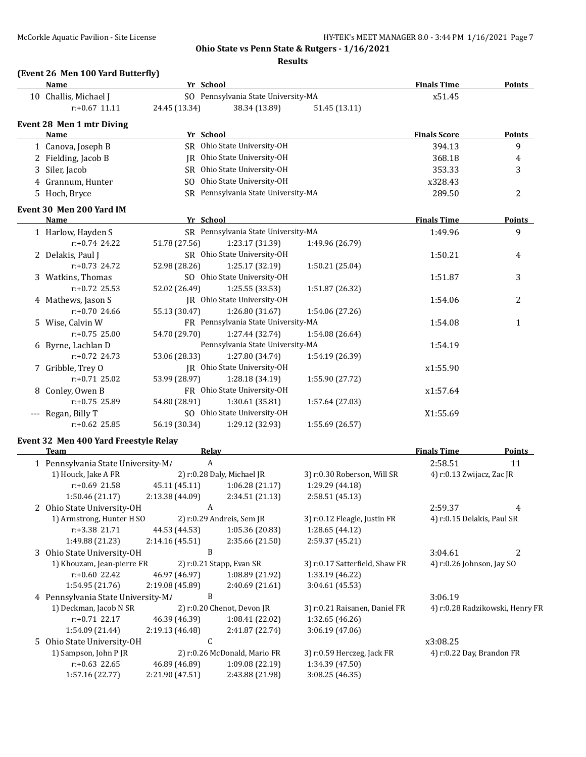#### **Results**

# **(Event 26 Men 100 Yard Butterfly)**

|  | Name                                                                                | Yr School                                                 |                                               |                                                                                                                       | <b>Finals Time</b>        | <b>Points</b>  |
|--|-------------------------------------------------------------------------------------|-----------------------------------------------------------|-----------------------------------------------|-----------------------------------------------------------------------------------------------------------------------|---------------------------|----------------|
|  | 10 Challis, Michael J                                                               |                                                           | SO Pennsylvania State University-MA           |                                                                                                                       | x51.45                    |                |
|  | $r: +0.67$ 11.11                                                                    | 24.45 (13.34)                                             | 38.34 (13.89)                                 | 51.45 (13.11)                                                                                                         |                           |                |
|  | Event 28 Men 1 mtr Diving                                                           |                                                           |                                               |                                                                                                                       |                           |                |
|  | Name                                                                                | Yr School                                                 |                                               |                                                                                                                       | <b>Finals Score</b>       | <b>Points</b>  |
|  | 1 Canova, Joseph B                                                                  |                                                           | SR Ohio State University-OH                   |                                                                                                                       | 394.13                    | 9              |
|  | 2 Fielding, Jacob B                                                                 |                                                           | JR Ohio State University-OH                   |                                                                                                                       | 368.18                    | 4              |
|  | 3 Siler, Jacob                                                                      |                                                           | SR Ohio State University-OH                   |                                                                                                                       | 353.33                    | 3              |
|  | 4 Grannum, Hunter                                                                   |                                                           | SO Ohio State University-OH                   |                                                                                                                       | x328.43                   |                |
|  | 5 Hoch, Bryce                                                                       |                                                           | SR Pennsylvania State University-MA           |                                                                                                                       | 289.50                    | $\overline{c}$ |
|  |                                                                                     |                                                           |                                               |                                                                                                                       |                           |                |
|  | Event 30 Men 200 Yard IM                                                            |                                                           |                                               |                                                                                                                       |                           |                |
|  | Name                                                                                | Yr School                                                 | SR Pennsylvania State University-MA           | <u> 1989 - Johann Harry Harry Harry Harry Harry Harry Harry Harry Harry Harry Harry Harry Harry Harry Harry Harry</u> | <b>Finals Time</b>        | <b>Points</b>  |
|  | 1 Harlow, Hayden S                                                                  | 1:49.96                                                   | 9                                             |                                                                                                                       |                           |                |
|  | $r: +0.74$ 24.22                                                                    | 51.78 (27.56)                                             | 1:23.17 (31.39)                               |                                                                                                                       |                           |                |
|  | 2 Delakis, Paul J                                                                   |                                                           | SR Ohio State University-OH                   |                                                                                                                       | 1:50.21                   | 4              |
|  | $r: +0.73$ 24.72                                                                    | 52.98 (28.26)                                             | 1:25.17 (32.19)                               | 1:50.21 (25.04)                                                                                                       |                           |                |
|  | 3 Watkins, Thomas                                                                   |                                                           | SO Ohio State University-OH                   |                                                                                                                       | 1:51.87                   | 3              |
|  | $r: +0.72$ 25.53                                                                    | 52.02 (26.49)                                             | 1:25.55 (33.53)                               | 1:51.87 (26.32)                                                                                                       |                           |                |
|  | 4 Mathews, Jason S                                                                  |                                                           | JR Ohio State University-OH                   |                                                                                                                       | 1:54.06                   | 2              |
|  | $r: +0.70$ 24.66                                                                    | 55.13 (30.47)                                             | 1:26.80 (31.67)                               | 1:54.06 (27.26)                                                                                                       |                           |                |
|  | 5 Wise, Calvin W                                                                    |                                                           | FR Pennsylvania State University-MA           |                                                                                                                       | 1:54.08                   | $\mathbf{1}$   |
|  | $r: +0.75$ 25.00                                                                    | 54.70 (29.70)                                             | 1:27.44 (32.74)                               | 1:54.08 (26.64)                                                                                                       |                           |                |
|  | 6 Byrne, Lachlan D                                                                  | Pennsylvania State University-MA                          |                                               |                                                                                                                       | 1:54.19                   |                |
|  | $r: +0.72$ 24.73                                                                    | 53.06 (28.33)                                             | 1:27.80 (34.74)                               | 1:54.19 (26.39)                                                                                                       |                           |                |
|  | 7 Gribble, Trey O                                                                   |                                                           | JR Ohio State University-OH                   |                                                                                                                       | x1:55.90                  |                |
|  | $r: +0.71$ 25.02                                                                    | 53.99 (28.97)<br>1:28.18 (34.19)<br>1:55.90 (27.72)       |                                               |                                                                                                                       |                           |                |
|  | 8 Conley, Owen B                                                                    |                                                           | FR Ohio State University-OH                   |                                                                                                                       | x1:57.64                  |                |
|  | r:+0.75 25.89                                                                       | 54.80 (28.91)                                             | 1:30.61 (35.81)                               | 1:57.64 (27.03)                                                                                                       |                           |                |
|  | --- Regan, Billy T                                                                  |                                                           | SO Ohio State University-OH                   |                                                                                                                       | X1:55.69                  |                |
|  | r:+0.62 25.85                                                                       | 56.19 (30.34)                                             | 1:29.12 (32.93)                               | 1:55.69 (26.57)                                                                                                       |                           |                |
|  | Event 32 Men 400 Yard Freestyle Relay                                               |                                                           |                                               |                                                                                                                       |                           |                |
|  | <b>Team</b>                                                                         | <b>Finals Time</b>                                        | <b>Points</b>                                 |                                                                                                                       |                           |                |
|  | <b>Relay</b><br>$\boldsymbol{A}$<br>1 Pennsylvania State University-M/              |                                                           |                                               |                                                                                                                       | 2:58.51                   | 11             |
|  | 1) Houck, Jake A FR                                                                 | 2) r:0.28 Daly, Michael JR<br>3) r:0.30 Roberson, Will SR |                                               |                                                                                                                       | 4) r:0.13 Zwijacz, Zac JR |                |
|  | $r: +0.69$ 21.58                                                                    | 45.11 (45.11)                                             | 1:06.28(21.17)                                | 1:29.29 (44.18)                                                                                                       |                           |                |
|  | 1:50.46 (21.17)                                                                     | 2:13.38 (44.09)                                           | 2:34.51 (21.13)                               | 2:58.51 (45.13)                                                                                                       |                           |                |
|  | 2 Ohio State University-OH                                                          | A                                                         |                                               |                                                                                                                       | 2:59.37                   | 4              |
|  | 1) Armstrong, Hunter H SO                                                           | 4) r:0.15 Delakis, Paul SR                                |                                               |                                                                                                                       |                           |                |
|  | r:+3.38 21.71                                                                       | 44.53 (44.53)                                             | 2) r:0.29 Andreis, Sem JR<br>1:05.36 (20.83)  | 3) r:0.12 Fleagle, Justin FR<br>1:28.65 (44.12)                                                                       |                           |                |
|  | 1:49.88 (21.23)                                                                     | 2:14.16 (45.51)                                           | 2:35.66 (21.50)                               | 2:59.37 (45.21)                                                                                                       |                           |                |
|  | 3 Ohio State University-OH                                                          | B                                                         |                                               |                                                                                                                       | 3:04.61                   | 2              |
|  | 1) Khouzam, Jean-pierre FR                                                          | 4) r:0.26 Johnson, Jay SO                                 |                                               |                                                                                                                       |                           |                |
|  | r:+0.60 22.42                                                                       | 46.97 (46.97)                                             | 1:08.89 (21.92)                               | 3) r:0.17 Satterfield, Shaw FR<br>1:33.19 (46.22)                                                                     |                           |                |
|  | 1:54.95 (21.76)                                                                     | 2:19.08 (45.89)                                           | 2:40.69 (21.61)                               | 3:04.61 (45.53)                                                                                                       |                           |                |
|  | 4 Pennsylvania State University-M/                                                  | 3:06.19                                                   |                                               |                                                                                                                       |                           |                |
|  | 1) Deckman, Jacob N SR                                                              |                                                           | 4) r:0.28 Radzikowski, Henry FR               |                                                                                                                       |                           |                |
|  | $r: +0.71$ 22.17                                                                    | 46.39 (46.39)                                             | 2) r:0.20 Chenot, Devon JR<br>1:08.41 (22.02) | 3) r:0.21 Raisanen, Daniel FR<br>1:32.65 (46.26)                                                                      |                           |                |
|  | 1:54.09 (21.44)                                                                     | 2:19.13 (46.48)                                           | 2:41.87 (22.74)                               | 3:06.19 (47.06)                                                                                                       |                           |                |
|  | 5 Ohio State University-OH                                                          | C                                                         |                                               |                                                                                                                       | x3:08.25                  |                |
|  | 1) Sampson, John P JR<br>2) r:0.26 McDonald, Mario FR<br>3) r:0.59 Herczeg, Jack FR |                                                           |                                               |                                                                                                                       | 4) r:0.22 Day, Brandon FR |                |
|  | $r: +0.63$ 22.65                                                                    | 46.89 (46.89)                                             | 1:09.08 (22.19)                               | 1:34.39 (47.50)                                                                                                       |                           |                |
|  | 1:57.16 (22.77)                                                                     | 2:21.90 (47.51)                                           | 2:43.88 (21.98)                               | 3:08.25 (46.35)                                                                                                       |                           |                |